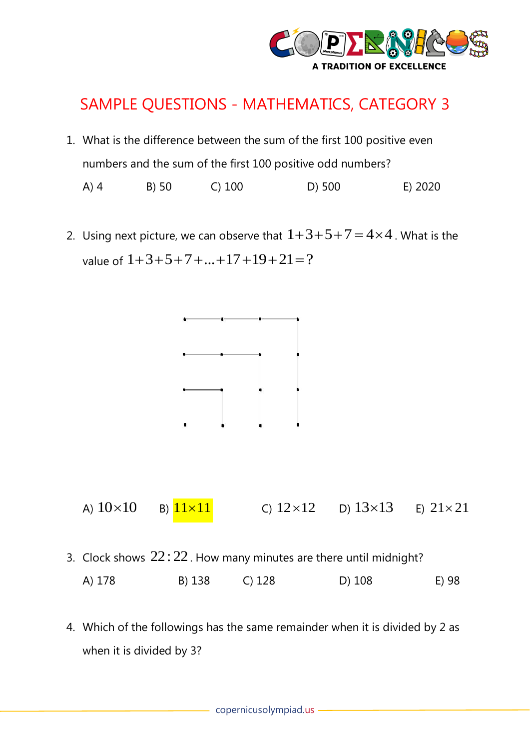

## SAMPLE QUESTIONS - MATHEMATICS, CATEGORY 3

1. What is the difference between the sum of the first 100 positive even numbers and the sum of the first 100 positive odd numbers?

A) 4 B) 50 C) 100 D) 500 E) 2020

2. Using next picture, we can observe that  $1+3+5+7=4\times4$  . What is the value of  $1\!+\!3\!+\!5\!+\!7\!+\!\ldots\!+\!17\!+\!19\!+\!21\!=\!?\,$ 





- 3. Clock shows  $22:22$ . How many minutes are there until midnight? A) 178 B) 138 C) 128 D) 108 E) 98
- 4. Which of the followings has the same remainder when it is divided by 2 as when it is divided by 3?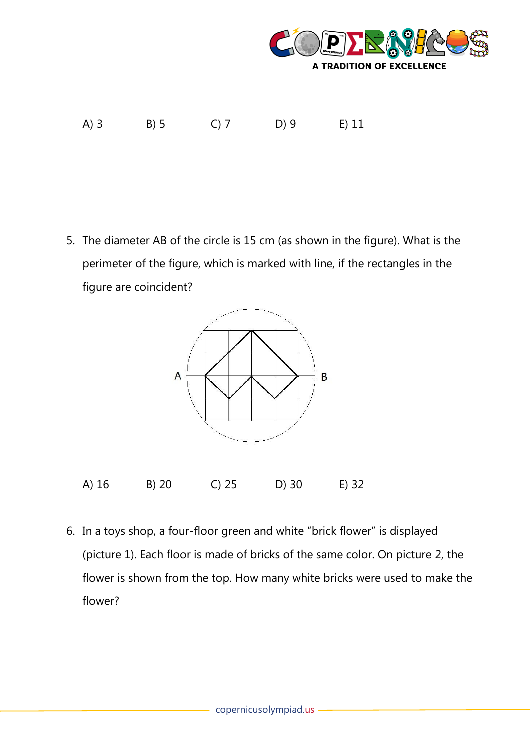

A) 3 B) 5 C) 7 D) 9 E) 11

5. The diameter AB of the circle is 15 cm (as shown in the figure). What is the perimeter of the figure, which is marked with line, if the rectangles in the figure are coincident?



6. In a toys shop, a four-floor green and white "brick flower" is displayed (picture 1). Each floor is made of bricks of the same color. On picture 2, the flower is shown from the top. How many white bricks were used to make the flower?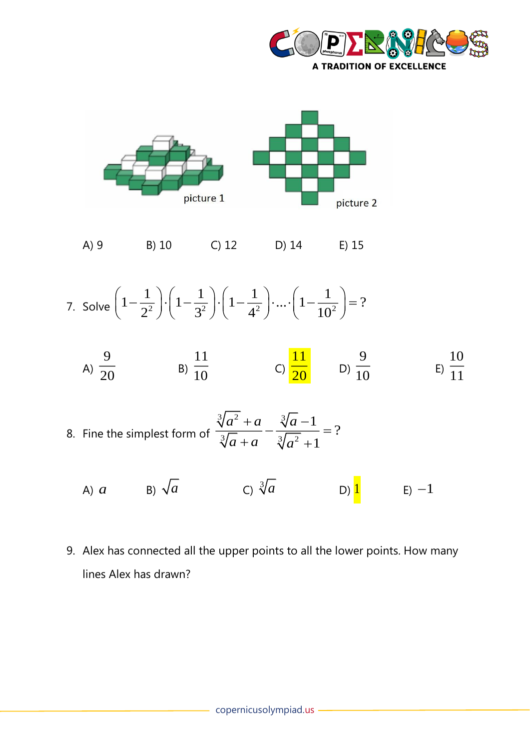



A) 9 B) 10 C) 12 D) 14 E) 15

7. Solve 
$$
\left(1 - \frac{1}{2^2}\right) \cdot \left(1 - \frac{1}{3^2}\right) \cdot \left(1 - \frac{1}{4^2}\right) \cdot \dots \cdot \left(1 - \frac{1}{10^2}\right) = ?
$$

A) 
$$
\frac{9}{20}
$$
 \t\t B)  $\frac{11}{10}$  \t C)  $\frac{11}{20}$  \t D)  $\frac{9}{10}$  \t E)  $\frac{10}{11}$ 

8. Fine the simplest form of  $31 - 2$   $2 - 3$  $3/a + a \t3/2$ 1 ? 1 *a a a*  $a + a \quad \forall a$  $\frac{+a}{-} - \frac{\sqrt{a-1}}{-} =$  $+a$   $\sqrt[3]{a^2} +$ 

A)  $\alpha$  B)  $\sqrt{a}$  C)  $\sqrt[3]{a}$ D) 1  $E$ )  $-1$ 

9. Alex has connected all the upper points to all the lower points. How many lines Alex has drawn?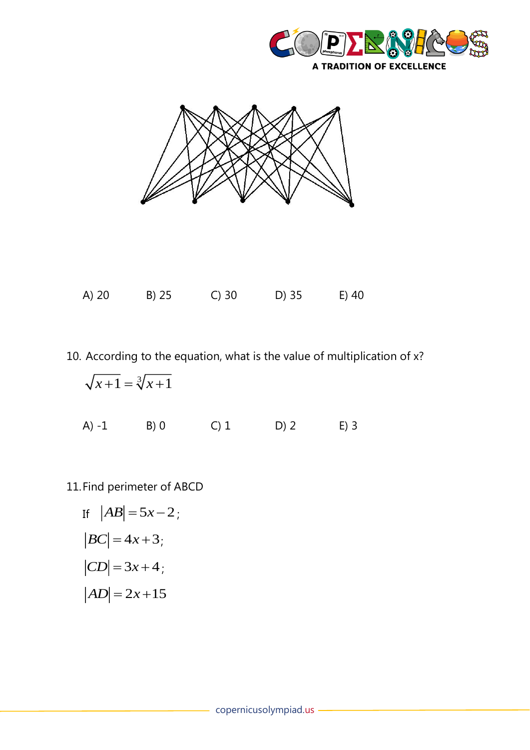





10. According to the equation, what is the value of multiplication of x?

$$
\sqrt{x+1} = \sqrt[3]{x+1}
$$
  
A) -1 B) 0 C) 1 D) 2 E) 3

11.Find perimeter of ABCD

If 
$$
|AB| = 5x-2
$$
;  
\n $|BC| = 4x+3$ ;  
\n $|CD| = 3x+4$ ;  
\n $|AD| = 2x+15$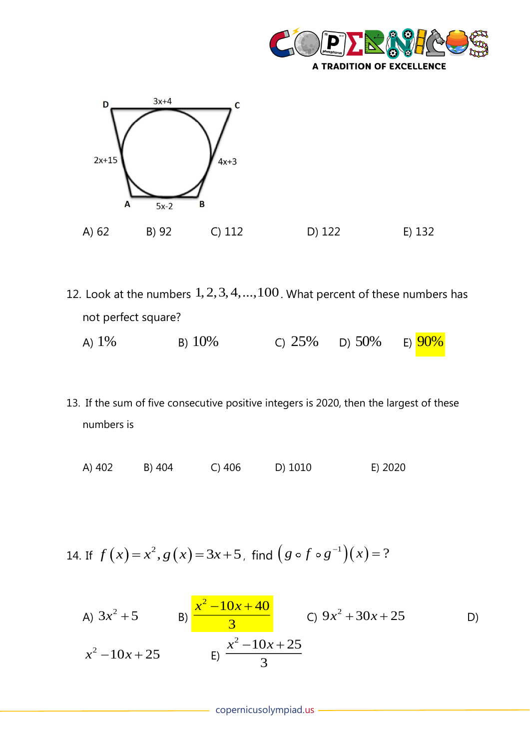



- 12. Look at the numbers  $1, 2, 3, 4, ..., 100$ . What percent of these numbers has not perfect square? A)  $1\%$  B) B) 10% C)  $25\%$  D)  $50\%$ E)  $90%$
- 13. If the sum of five consecutive positive integers is 2020, then the largest of these numbers is
	- A) 402 B) 404 C) 406 D) 1010 E) 2020

14. If 
$$
f(x) = x^2
$$
,  $g(x) = 3x + 5$ , find  $(g \circ f \circ g^{-1})(x) = ?$ 

A) 
$$
3x^2 + 5
$$
 \t\t B)  $\frac{x^2 - 10x + 40}{3}$  \tC)  $9x^2 + 30x + 25$  \tD)   
 $x^2 - 10x + 25$  \t\t E)  $\frac{x^2 - 10x + 25}{3}$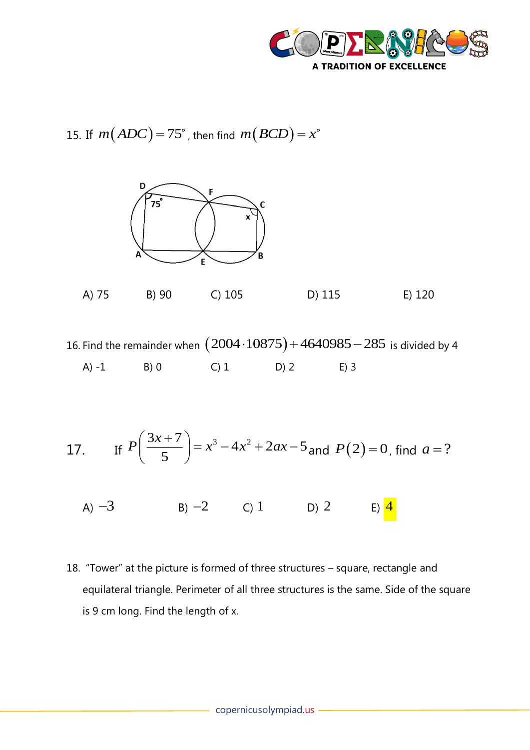

15. If  $m\big(ADC)$   $=$   $75^\circ$  , then find  $m\big(BCD\big)$   $=$   $x$ 



A) 75 B) 90 C) 105 D) 115 E) 120

16. Find the remainder when  $\big(2004 \!\cdot\! 10875\big) \!+\! 4640985 \!-\! 285\,$  is divided by 4 A) -1 B) 0 C) 1 D) 2 E) 3

17. If 
$$
P\left(\frac{3x+7}{5}\right) = x^3 - 4x^2 + 2ax - 5
$$
 and  $P(2) = 0$ , find  $a = ?$ 

A)  $-3$  B)  $-2$  C) 1 D) 2 E) 4

18. "Tower" at the picture is formed of three structures – square, rectangle and equilateral triangle. Perimeter of all three structures is the same. Side of the square is 9 cm long. Find the length of x.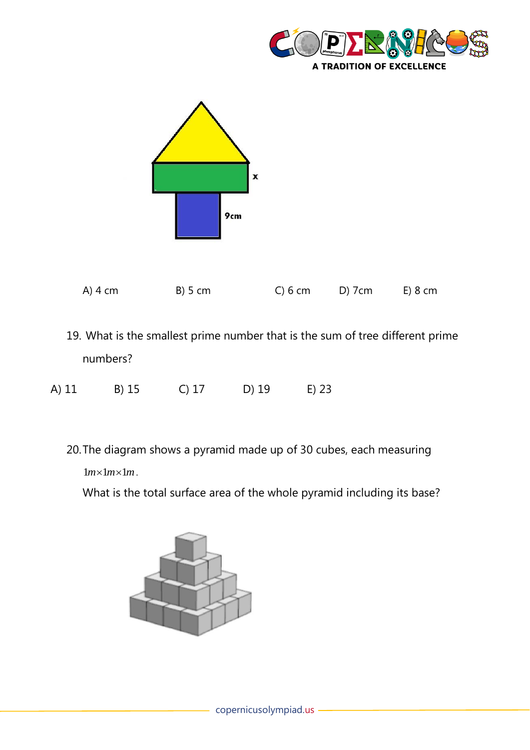



- 19. What is the smallest prime number that is the sum of tree different prime numbers?
- A) 11 B) 15 C) 17 D) 19 E) 23
	- 20.The diagram shows a pyramid made up of 30 cubes, each measuring  $lm \times lm \times lm$ .

What is the total surface area of the whole pyramid including its base?

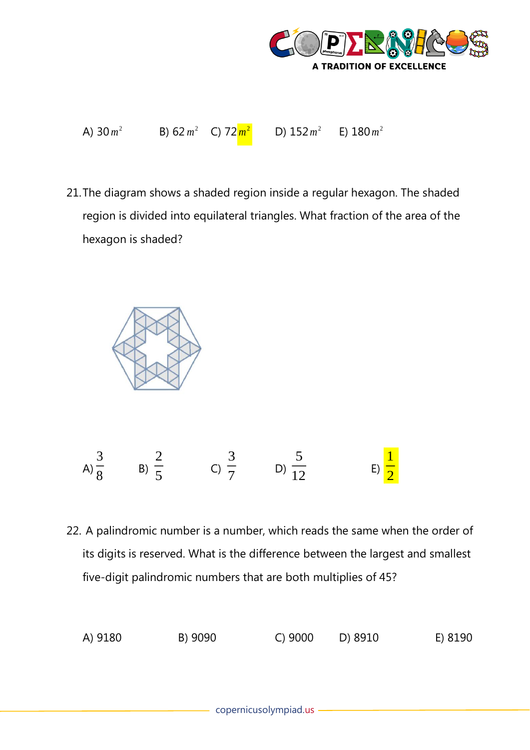

| A) $30 m^2$ | B) 62 $m^2$ C) 72 $m^2$ | D) $152 m^2$ | E) $180 m^2$ |
|-------------|-------------------------|--------------|--------------|
|             |                         |              |              |

21.The diagram shows a shaded region inside a regular hexagon. The shaded region is divided into equilateral triangles. What fraction of the area of the hexagon is shaded?



22. A palindromic number is a number, which reads the same when the order of its digits is reserved. What is the difference between the largest and smallest five-digit palindromic numbers that are both multiplies of 45?

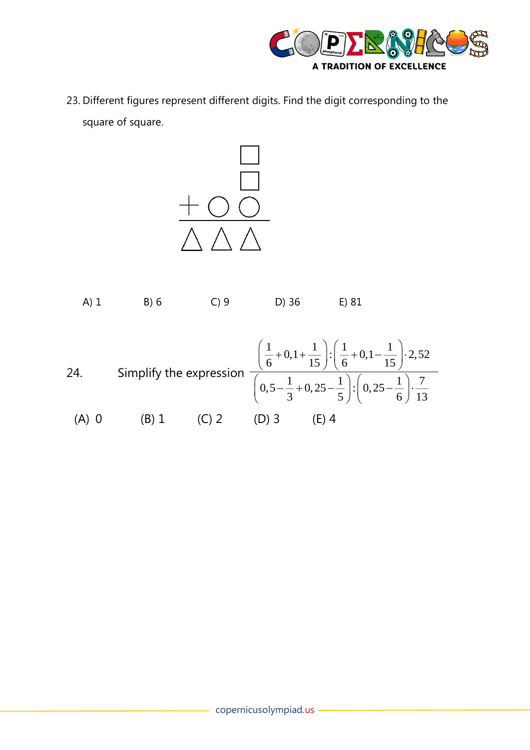

23. Different figures represent different digits. Find the digit corresponding to the square of square.



| $A)$ 1  | B)6   | $D)$ 36 | E) 81                                                                                                                                                                                                                                                         |
|---------|-------|---------|---------------------------------------------------------------------------------------------------------------------------------------------------------------------------------------------------------------------------------------------------------------|
| 24.     |       |         | Simplify the expression $\frac{\left(\frac{1}{6} + 0, 1 + \frac{1}{15}\right) \cdot \left(\frac{1}{6} + 0, 1 - \frac{1}{15}\right) \cdot 2,52}{\left(0,5 - \frac{1}{3} + 0,25 - \frac{1}{5}\right) \cdot \left(0,25 - \frac{1}{6}\right) \cdot \frac{7}{13}}$ |
| $(A)$ 0 | (B) 1 | $(D)$ 3 | (E) 4                                                                                                                                                                                                                                                         |